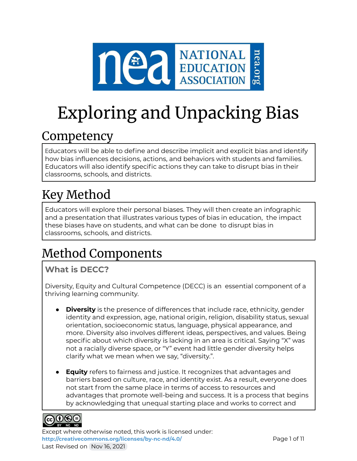

# Exploring and Unpacking Bias

# Competency

Educators will be able to define and describe implicit and explicit bias and identify how bias influences decisions, actions, and behaviors with students and families. Educators will also identify specific actions they can take to disrupt bias in their classrooms, schools, and districts.

# Key Method

Educators will explore their personal biases. They will then create an infographic and a presentation that illustrates various types of bias in education, the impact these biases have on students, and what can be done to disrupt bias in classrooms, schools, and districts.

# Method Components

## **What is DECC?**

Diversity, Equity and Cultural Competence (DECC) is an essential component of a thriving learning community.

- **Diversity** is the presence of differences that include race, ethnicity, gender identity and expression, age, national origin, religion, disability status, sexual orientation, socioeconomic status, language, physical appearance, and more. Diversity also involves different ideas, perspectives, and values. Being specific about which diversity is lacking in an area is critical. Saying "X" was not a racially diverse space, or "Y" event had little gender diversity helps clarify what we mean when we say, "diversity.".
- **Equity** refers to fairness and justice. It recognizes that advantages and barriers based on culture, race, and identity exist. As a result, everyone does not start from the same place in terms of access to resources and advantages that promote well-being and success. It is a process that begins by acknowledging that unequal starting place and works to correct and



Except where otherwise noted, this work is licensed under: <http://creativecommons.org/licenses/by-nc-nd/4.0/>**Page 1 of 11** Page 1 of 11 Last Revised on Nov 16, 2021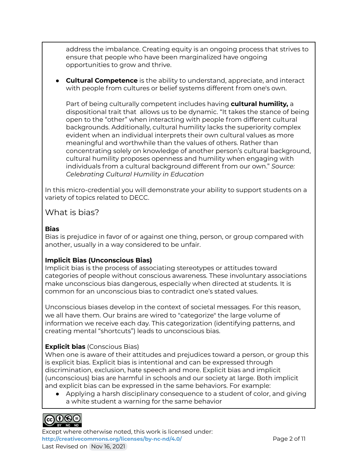address the imbalance. Creating equity is an ongoing process that strives to ensure that people who have been marginalized have ongoing opportunities to grow and thrive.

● **Cultural Competence** is the ability to understand, appreciate, and interact with people from cultures or belief systems different from one's own.

Part of being culturally competent includes having **cultural humility,** a dispositional trait that allows us to be dynamic. "It takes the stance of being open to the "other" when interacting with people from different cultural backgrounds. Additionally, cultural humility lacks the superiority complex evident when an individual interprets their own cultural values as more meaningful and worthwhile than the values of others. Rather than concentrating solely on knowledge of another person's cultural background, cultural humility proposes openness and humility when engaging with individuals from a cultural background different from our own." *Source: Celebrating Cultural Humility in Education*

In this micro-credential you will demonstrate your ability to support students on a variety of topics related to DECC.

#### What is bias?

#### **Bias**

Bias is prejudice in favor of or against one thing, person, or group compared with another, usually in a way considered to be unfair.

#### **Implicit Bias (Unconscious Bias)**

Implicit bias is the process of associating stereotypes or attitudes toward categories of people without conscious awareness. These involuntary associations make unconscious bias dangerous, especially when directed at students. It is common for an unconscious bias to contradict one's stated values.

Unconscious biases develop in the context of societal messages. For this reason, we all have them. Our brains are wired to "categorize" the large volume of information we receive each day. This categorization (identifying patterns, and creating mental "shortcuts") leads to unconscious bias.

#### **Explicit bias** (Conscious Bias)

When one is aware of their attitudes and prejudices toward a person, or group this is explicit bias. Explicit bias is intentional and can be expressed through discrimination, exclusion, hate speech and more. Explicit bias and implicit (unconscious) bias are harmful in schools and our society at large. Both implicit and explicit bias can be expressed in the same behaviors. For example:

● Applying a harsh disciplinary consequence to a student of color, and giving a white student a warning for the same behavior



Except where otherwise noted, this work is licensed under: **<http://creativecommons.org/licenses/by-nc-nd/4.0/>** Page 2 of 11 Last Revised on Nov 16, 2021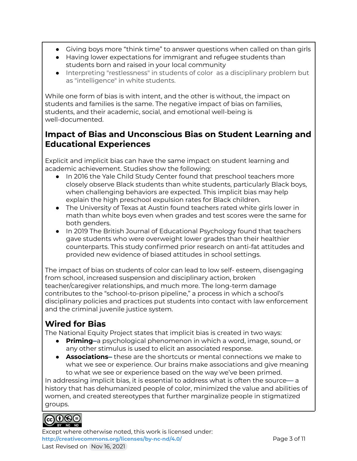- Giving boys more "think time" to answer questions when called on than girls
- Having lower expectations for immigrant and refugee students than students born and raised in your local community
- Interpreting "restlessness" in students of color as a disciplinary problem but as "intelligence" in white students.

While one form of bias is with intent, and the other is without, the impact on students and families is the same. The negative impact of bias on families, students, and their academic, social, and emotional well-being is well-documented.

### **Impact of Bias and Unconscious Bias on Student Learning and Educational Experiences**

Explicit and implicit bias can have the same impact on student learning and academic achievement. Studies show the following:

- In 2016 the Yale Child Study Center found that preschool teachers more closely observe Black students than white students, particularly Black boys, when challenging behaviors are expected. This implicit bias may help explain the high preschool expulsion rates for Black children.
- The University of Texas at Austin found teachers rated white girls lower in math than white boys even when grades and test scores were the same for both genders.
- In 2019 The British Journal of Educational Psychology found that teachers gave students who were overweight lower grades than their healthier counterparts. This study confirmed prior research on anti-fat attitudes and provided new evidence of biased attitudes in school settings.

The impact of bias on students of color can lead to low self- esteem, disengaging from school, increased suspension and disciplinary action, broken teacher/caregiver relationships, and much more. The long-term damage contributes to the "school-to-prison pipeline," a process in which a school's disciplinary policies and practices put students into contact with law enforcement and the criminal juvenile justice system.

## **Wired for Bias**

The National Equity Project states that implicit bias is created in two ways:

- **Priming–**a psychological phenomenon in which a word, image, sound, or any other stimulus is used to elicit an associated response.
- **Associations–** these are the shortcuts or mental connections we make to what we see or experience. Our brains make associations and give meaning to what we see or experience based on the way we've been primed.

In addressing implicit bias, it is essential to address what is often the source— a history that has dehumanized people of color, minimized the value and abilities of women, and created stereotypes that further marginalize people in stigmatized groups.



Except where otherwise noted, this work is licensed under: <http://creativecommons.org/licenses/by-nc-nd/4.0/><br>
Page 3 of 11 Last Revised on Nov 16, 2021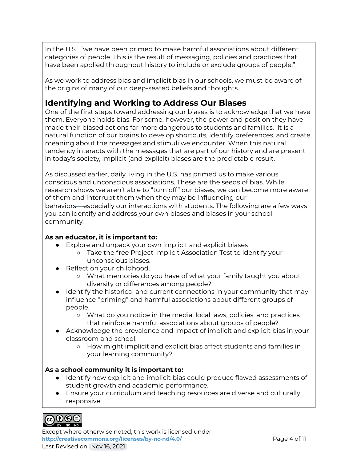In the U.S., "we have been primed to make harmful associations about different categories of people. This is the result of messaging, policies and practices that have been applied throughout history to include or exclude groups of people."

As we work to address bias and implicit bias in our schools, we must be aware of the origins of many of our deep-seated beliefs and thoughts.

### **Identifying and Working to Address Our Biases**

One of the first steps toward addressing our biases is to acknowledge that we have them. Everyone holds bias. For some, however, the power and position they have made their biased actions far more dangerous to students and families. It is a natural function of our brains to develop shortcuts, identify preferences, and create meaning about the messages and stimuli we encounter. When this natural tendency interacts with the messages that are part of our history and are present in today's society, implicit (and explicit) biases are the predictable result.

As discussed earlier, daily living in the U.S. has primed us to make various conscious and unconscious associations. These are the seeds of bias. While research shows we aren't able to "turn off" our biases, we can become more aware of them and interrupt them when they may be influencing our behaviors—especially our interactions with students. The following are a few ways you can identify and address your own biases and biases in your school community.

#### **As an educator, it is important to:**

- Explore and unpack your own implicit and explicit biases
	- Take the free Project Implicit Association Test to identify your unconscious biases.
- Reflect on your childhood.
	- What memories do you have of what your family taught you about diversity or differences among people?
- Identify the historical and current connections in your community that may influence "priming" and harmful associations about different groups of people.
	- What do you notice in the media, local laws, policies, and practices that reinforce harmful associations about groups of people?
- Acknowledge the prevalence and impact of implicit and explicit bias in your classroom and school.
	- How might implicit and explicit bias affect students and families in your learning community?

#### **As a school community it is important to:**

- Identify how explicit and implicit bias could produce flawed assessments of student growth and academic performance.
- Ensure your curriculum and teaching resources are diverse and culturally responsive.



Except where otherwise noted, this work is licensed under: <http://creativecommons.org/licenses/by-nc-nd/4.0/><br>
Page 4 of 11 Last Revised on Nov 16, 2021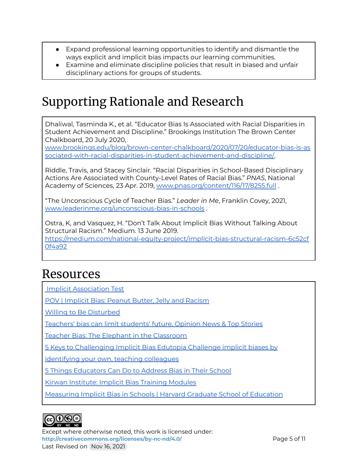- Expand professional learning opportunities to identify and dismantle the ways explicit and implicit bias impacts our learning communities.
- Examine and eliminate discipline policies that result in biased and unfair disciplinary actions for groups of students.

# Supporting Rationale and Research

Dhaliwal, Tasminda K., et al. "Educator Bias Is Associated with Racial Disparities in Student Achievement and Discipline." Brookings Institution The Brown Center Chalkboard, 20 July 2020,

[www.brookings.edu/blog/brown-center-chalkboard/2020/07/20/educator-bias-is-as](http://www.brookings.edu/blog/brown-center-chalkboard/2020/07/20/educator-bias-is-associated-with-racial-disparities-in-student-achievement-and-discipline/) [sociated-with-racial-disparities-in-student-achievement-and-discipline/.](http://www.brookings.edu/blog/brown-center-chalkboard/2020/07/20/educator-bias-is-associated-with-racial-disparities-in-student-achievement-and-discipline/)

Riddle, Travis, and Stacey Sinclair. "Racial Disparities in School-Based Disciplinary Actions Are Associated with County-Level Rates of Racial Bias." *PNAS*, National Academy of Sciences, 23 Apr. 2019, [www.pnas.org/content/116/17/8255.full](http://www.pnas.org/content/116/17/8255.full) .

"The Unconscious Cycle of Teacher Bias." *Leader in Me*, Franklin Covey, 2021, [www.leaderinme.org/unconscious-bias-in-schools](http://www.leaderinme.org/unconscious-bias-in-schools/) .

Ostra, K, and Vasquez, H. "Don't Talk About Implicit Bias Without Talking About Structural Racism." Medium. 13 June 2019.

[https://medium.com/national-equity-project/implicit-bias-structural-racism-6c52cf](https://medium.com/national-equity-project/implicit-bias-structural-racism-6c52cf0f4a92) [0f4a92](https://medium.com/national-equity-project/implicit-bias-structural-racism-6c52cf0f4a92)

# Resources

Implicit [Association](https://implicit.harvard.edu/implicit/iatdetails.html) Test

POV | [Implicit](http://bit.ly/ImplicitBiasVideos) Bias: Peanut Butter, Jelly and Racism

Willing to Be [Disturbed](https://ncs.uchicago.edu/sites/ncs.uchicago.edu/files/uploads/tools/NCs_PS_Toolkit_DPL_Set_B_WillingDisturbed.pdf)

[Teachers'](https://www.straitstimes.com/opinion/teachers-bias-can-limit-students-future) bias can limit students' future, Opinion News & Top Stories

Teacher Bias: The Elephant in the [Classroom](https://www.thegraidenetwork.com/blog-all/2018/8/1/teacher-bias-the-elephant-in-the-classroom)

5 Keys to [Challenging](https://www.edutopia.org/blog/keys-to-challenging-implicit-bias-shane-safir) Implicit Bias Edutopia Challenge implicit biases by

[identifying](https://www.edutopia.org/blog/keys-to-challenging-implicit-bias-shane-safir) your own, teaching colleagues

5 Things [Educators](https://neaedjustice.org/2019/10/11/5-things-educators-can-do-to-address-bias-in-their-school/) Can Do to Address Bias in Their School

Kirwan [Institute:](http://kirwaninstitute.osu.edu/implicit-bias-training/) Implicit Bias Training Modules

[Measuring](https://www.gse.harvard.edu/news/uk/20/08/measuring-implicit-bias-schools) Implicit Bias in Schools | Harvard Graduate School of Education



Except where otherwise noted, this work is licensed under: **<http://creativecommons.org/licenses/by-nc-nd/4.0/>** Page 5 of 11 Last Revised on Nov 16, 2021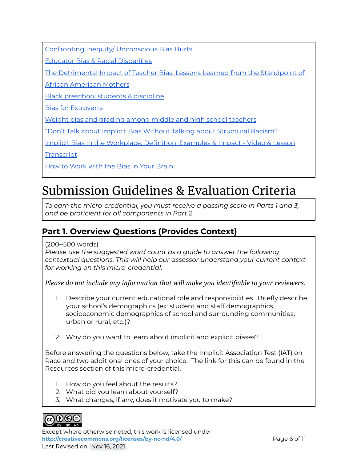Confronting Inequity/ [Unconscious](http://www.ascd.org/publications/educational-leadership/dec17/vol75/num04/Unconscious-Bias-Hurts.aspx) Bias Hurts

Educator Bias & Racial [Disparities](https://www.brookings.edu/blog/brown-center-chalkboard/2020/07/20/educator-bias-is-associated-with-racial-disparities-in-student-achievement-and-discipline/)

The [Detrimental](https://files.eric.ed.gov/fulltext/EJ852360.pdf) Impact of Teacher Bias: Lessons Learned from the Standpoint of

African [American](https://files.eric.ed.gov/fulltext/EJ852360.pdf) Mothers

Black [preschool](https://news.yale.edu/2016/09/27/implicit-bias-may-explain-high-preschool-expulsion-rates-black-children) students & discipline

Bias for [Extroverts](https://resilienteducator.com/classroom-resources/unconscious-discrimination-avoiding-teacher-biases/)

Weight bias and grading among middle and high school [teachers](https://bpspsychub.onlinelibrary.wiley.com/doi/10.1111/bjep.12322)

"Don't Talk about Implicit Bias Without Talking about [Structural](https://medium.com/national-equity-project/implicit-bias-structural-racism-6c52cf0f4a92) Racism"

Implicit Bias in the [Workplace:](https://study.com/academy/lesson/implicit-bias-in-the-workplace-definition-examples-impact.html) Definition, Examples & Impact - Video & Lesson

**[Transcript](https://study.com/academy/lesson/implicit-bias-in-the-workplace-definition-examples-impact.html)** 

How to [Work](https://greatergood.berkeley.edu/article/item/how_to_work_with_the_bias_in_your_brain) with the Bias in Your Brain

# Submission Guidelines & Evaluation Criteria

*To earn the micro-credential, you must receive a passing score in Parts 1 and 3, and be proficient for all components in Part 2.*

### **Part 1. Overview Questions (Provides Context)**

(200–500 words)

*Please use the suggested word count as a guide to answer the following contextual questions. This will help our assessor understand your current context for working on this micro-credential.*

*Please do not include any information that will make you identifiable to your reviewers*.

- 1. Describe your current educational role and responsibilities. Briefly describe your school's demographics (ex: student and staff demographics, socioeconomic demographics of school and surrounding communities, urban or rural, etc.)?
- 2. Why do you want to learn about implicit and explicit biases?

Before answering the questions below, take the Implicit Association Test (IAT) on Race and two additional ones of your choice. The link for this can be found in the Resources section of this micro-credential.

- 1. How do you feel about the results?
- 2. What did you learn about yourself?
- 3. What changes, if any, does it motivate you to make?



Except where otherwise noted, this work is licensed under: <http://creativecommons.org/licenses/by-nc-nd/4.0/><br>
Page 6 of 11 Last Revised on Nov 16, 2021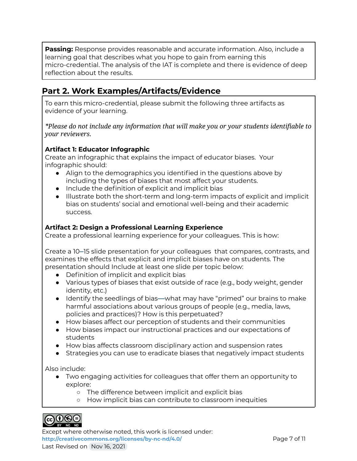**Passing:** Response provides reasonable and accurate information. Also, include a learning goal that describes what you hope to gain from earning this micro-credential. The analysis of the IAT is complete and there is evidence of deep reflection about the results.

### **Part 2. Work Examples/Artifacts/Evidence**

To earn this micro-credential, please submit the following three artifacts as evidence of your learning.

*\*Please do not include any information that will make you or your students identifiable to your reviewers.*

#### **Artifact 1: Educator Infographic**

Create an infographic that explains the impact of educator biases. Your infographic should:

- Align to the demographics you identified in the questions above by including the types of biases that most affect your students.
- Include the definition of explicit and implicit bias
- Illustrate both the short-term and long-term impacts of explicit and implicit bias on students' social and emotional well-being and their academic success.

#### **Artifact 2: Design a Professional Learning Experience**

Create a professional learning experience for your colleagues. This is how:

Create a 10–15 slide presentation for your colleagues that compares, contrasts, and examines the effects that explicit and implicit biases have on students. The presentation should Include at least one slide per topic below:

- Definition of implicit and explicit bias
- Various types of biases that exist outside of race (e.g., body weight, gender identity, etc.)
- Identify the seedlings of bias—what may have "primed" our brains to make harmful associations about various groups of people (e.g., media, laws, policies and practices)? How is this perpetuated?
- How biases affect our perception of students and their communities
- How biases impact our instructional practices and our expectations of students
- How bias affects classroom disciplinary action and suspension rates
- Strategies you can use to eradicate biases that negatively impact students

Also include:

- Two engaging activities for colleagues that offer them an opportunity to explore:
	- The difference between implicit and explicit bias
	- How implicit bias can contribute to classroom inequities



Except where otherwise noted, this work is licensed under: **<http://creativecommons.org/licenses/by-nc-nd/4.0/>** Page 7 of 11 Last Revised on Nov 16, 2021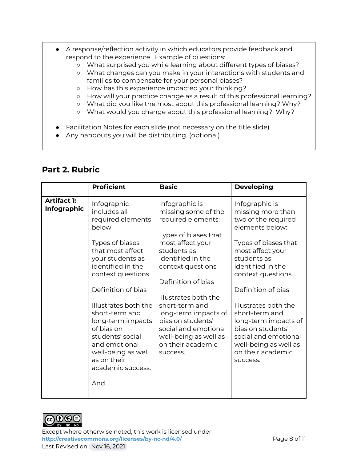- A response/reflection activity in which educators provide feedback and respond to the experience. Example of questions:
	- What surprised you while learning about different types of biases?
	- What changes can you make in your interactions with students and families to compensate for your personal biases?
	- How has this experience impacted your thinking?
	- How will your practice change as a result of this professional learning?
	- What did you like the most about this professional learning? Why?
	- What would you change about this professional learning? Why?
- Facilitation Notes for each slide (not necessary on the title slide)
- Any handouts you will be distributing. (optional)

### **Part 2. Rubric**

|                                          | <b>Proficient</b>                                                                                                                                                                                                                                                                                                                                                        | <b>Basic</b>                                                                                                                                                                                                                                                                                                                                                    | <b>Developing</b>                                                                                                                                                                                                                                                                                                                                                                 |
|------------------------------------------|--------------------------------------------------------------------------------------------------------------------------------------------------------------------------------------------------------------------------------------------------------------------------------------------------------------------------------------------------------------------------|-----------------------------------------------------------------------------------------------------------------------------------------------------------------------------------------------------------------------------------------------------------------------------------------------------------------------------------------------------------------|-----------------------------------------------------------------------------------------------------------------------------------------------------------------------------------------------------------------------------------------------------------------------------------------------------------------------------------------------------------------------------------|
| <b>Artifact 1:</b><br><b>Infographic</b> | Infographic<br>includes all<br>required elements<br>below:<br>Types of biases<br>that most affect<br>your students as<br>identified in the<br>context questions<br>Definition of bias<br>Illustrates both the<br>short-term and<br>long-term impacts<br>of bias on<br>students' social<br>and emotional<br>well-being as well<br>as on their<br>academic success.<br>And | Infographic is<br>missing some of the<br>required elements:<br>Types of biases that<br>most affect your<br>students as<br>identified in the<br>context questions<br>Definition of bias<br>Illustrates both the<br>short-term and<br>long-term impacts of<br>bias on students'<br>social and emotional<br>well-being as well as<br>on their academic<br>success. | Infographic is<br>missing more than<br>two of the required<br>elements below:<br>Types of biases that<br>most affect your<br>students as<br>identified in the<br>context questions<br>Definition of bias<br>Illustrates both the<br>short-term and<br>long-term impacts of<br>bias on students'<br>social and emotional<br>well-being as well as<br>on their academic<br>success. |



Except where otherwise noted, this work is licensed under: <http://creativecommons.org/licenses/by-nc-nd/4.0/><br>
Page 8 of 11 Last Revised on Nov 16, 2021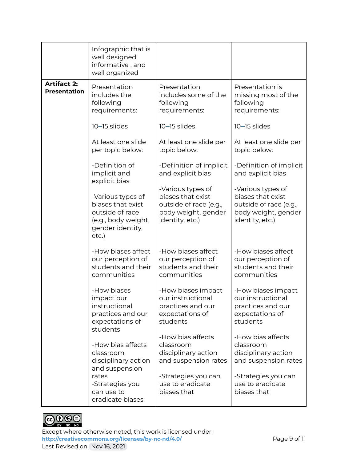|                                           | Infographic that is<br>well designed,<br>informative, and<br>well organized                                   |                                                                                                            |                                                                                                            |
|-------------------------------------------|---------------------------------------------------------------------------------------------------------------|------------------------------------------------------------------------------------------------------------|------------------------------------------------------------------------------------------------------------|
| <b>Artifact 2:</b><br><b>Presentation</b> | Presentation<br>includes the<br>following<br>requirements:                                                    | Presentation<br>includes some of the<br>following<br>requirements:                                         | Presentation is<br>missing most of the<br>following<br>requirements:                                       |
|                                           | 10-15 slides                                                                                                  | 10-15 slides                                                                                               | 10-15 slides                                                                                               |
|                                           | At least one slide<br>per topic below:                                                                        | At least one slide per<br>topic below:                                                                     | At least one slide per<br>topic below:                                                                     |
|                                           | -Definition of<br>implicit and<br>explicit bias                                                               | -Definition of implicit<br>and explicit bias                                                               | -Definition of implicit<br>and explicit bias                                                               |
|                                           | -Various types of<br>biases that exist<br>outside of race<br>(e.g., body weight,<br>gender identity,<br>etc.) | -Various types of<br>biases that exist<br>outside of race (e.g.,<br>body weight, gender<br>identity, etc.) | -Various types of<br>biases that exist<br>outside of race (e.g.,<br>body weight, gender<br>identity, etc.) |
|                                           | -How biases affect<br>our perception of<br>students and their<br>communities                                  | -How biases affect<br>our perception of<br>students and their<br>communities                               | -How biases affect<br>our perception of<br>students and their<br>communities                               |
|                                           | -How biases<br>impact our<br>instructional<br>practices and our<br>expectations of<br>students                | -How biases impact<br>our instructional<br>practices and our<br>expectations of<br>students                | -How biases impact<br>our instructional<br>practices and our<br>expectations of<br>students                |
|                                           | -How bias affects<br>classroom<br>disciplinary action<br>and suspension                                       | -How bias affects<br>classroom<br>disciplinary action<br>and suspension rates                              | -How bias affects<br>classroom<br>disciplinary action<br>and suspension rates                              |
|                                           | rates<br>-Strategies you<br>can use to<br>eradicate biases                                                    | -Strategies you can<br>use to eradicate<br>biases that                                                     | -Strategies you can<br>use to eradicate<br>biases that                                                     |



Except where otherwise noted, this work is licensed under: <http://creativecommons.org/licenses/by-nc-nd/4.0/><br>
Page 9 of 11 Last Revised on Nov 16, 2021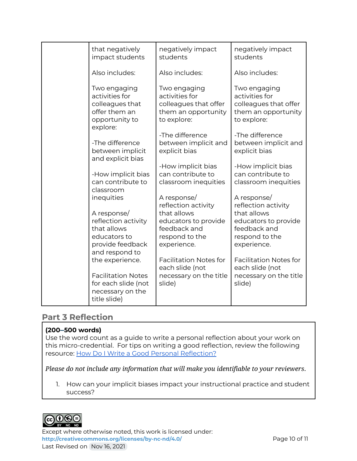| that negatively<br>impact students                                                                      | negatively impact<br>students                                                                 | negatively impact<br>students                                                                 |
|---------------------------------------------------------------------------------------------------------|-----------------------------------------------------------------------------------------------|-----------------------------------------------------------------------------------------------|
| Also includes:                                                                                          | Also includes:                                                                                | Also includes:                                                                                |
| Two engaging<br>activities for<br>colleagues that<br>offer them an<br>opportunity to<br>explore:        | Two engaging<br>activities for<br>colleagues that offer<br>them an opportunity<br>to explore: | Two engaging<br>activities for<br>colleagues that offer<br>them an opportunity<br>to explore: |
| -The difference<br>between implicit<br>and explicit bias                                                | -The difference<br>between implicit and<br>explicit bias                                      | -The difference<br>between implicit and<br>explicit bias                                      |
| -How implicit bias<br>can contribute to<br>classroom                                                    | -How implicit bias<br>can contribute to<br>classroom inequities                               | -How implicit bias<br>can contribute to<br>classroom inequities                               |
| inequities                                                                                              | A response/<br>reflection activity                                                            | A response/<br>reflection activity                                                            |
| A response/<br>reflection activity<br>that allows<br>educators to<br>provide feedback<br>and respond to | that allows<br>educators to provide<br>feedback and<br>respond to the<br>experience.          | that allows<br>educators to provide<br>feedback and<br>respond to the<br>experience.          |
| the experience.<br><b>Facilitation Notes</b><br>for each slide (not<br>necessary on the<br>title slide) | <b>Facilitation Notes for</b><br>each slide (not<br>necessary on the title<br>slide)          | <b>Facilitation Notes for</b><br>each slide (not<br>necessary on the title<br>slide)          |
|                                                                                                         |                                                                                               |                                                                                               |

#### **Part 3 Reflection**

#### **(200–500 words)**

Use the word count as a guide to write a personal reflection about your work on this micro-credential. For tips on writing a good reflection, review the following resource: How Do I Write a Good Personal [Reflection?](https://isthismystory.com/learning/how-do-i-write-a-good-personal-reflection/)

*Please do not include any information that will make you identifiable to your reviewers*.

1. How can your implicit biases impact your instructional practice and student success?



Except where otherwise noted, this work is licensed under: <http://creativecommons.org/licenses/by-nc-nd/4.0/><br>
Page 10 of 11 Last Revised on Nov 16, 2021